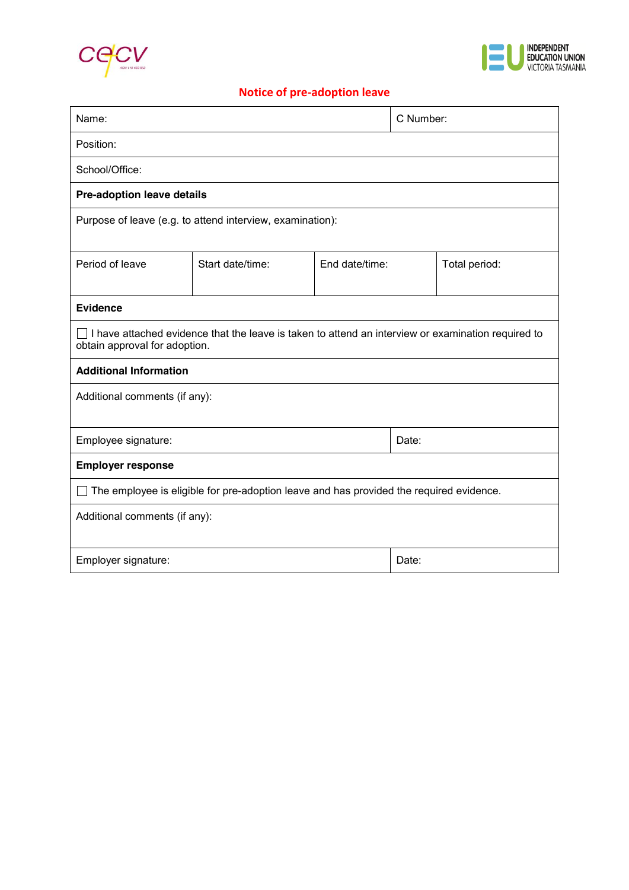



# **Notice of pre-adoption leave**

| Name:                                                                                                                                      |                  |                | C Number: |               |
|--------------------------------------------------------------------------------------------------------------------------------------------|------------------|----------------|-----------|---------------|
| Position:                                                                                                                                  |                  |                |           |               |
| School/Office:                                                                                                                             |                  |                |           |               |
| <b>Pre-adoption leave details</b>                                                                                                          |                  |                |           |               |
| Purpose of leave (e.g. to attend interview, examination):                                                                                  |                  |                |           |               |
| Period of leave                                                                                                                            | Start date/time: | End date/time: |           | Total period: |
| <b>Evidence</b>                                                                                                                            |                  |                |           |               |
| $\Box$ I have attached evidence that the leave is taken to attend an interview or examination required to<br>obtain approval for adoption. |                  |                |           |               |
| <b>Additional Information</b>                                                                                                              |                  |                |           |               |
| Additional comments (if any):                                                                                                              |                  |                |           |               |
| Employee signature:                                                                                                                        |                  |                | Date:     |               |
| <b>Employer response</b>                                                                                                                   |                  |                |           |               |
| The employee is eligible for pre-adoption leave and has provided the required evidence.                                                    |                  |                |           |               |
| Additional comments (if any):                                                                                                              |                  |                |           |               |
| Employer signature:                                                                                                                        |                  |                | Date:     |               |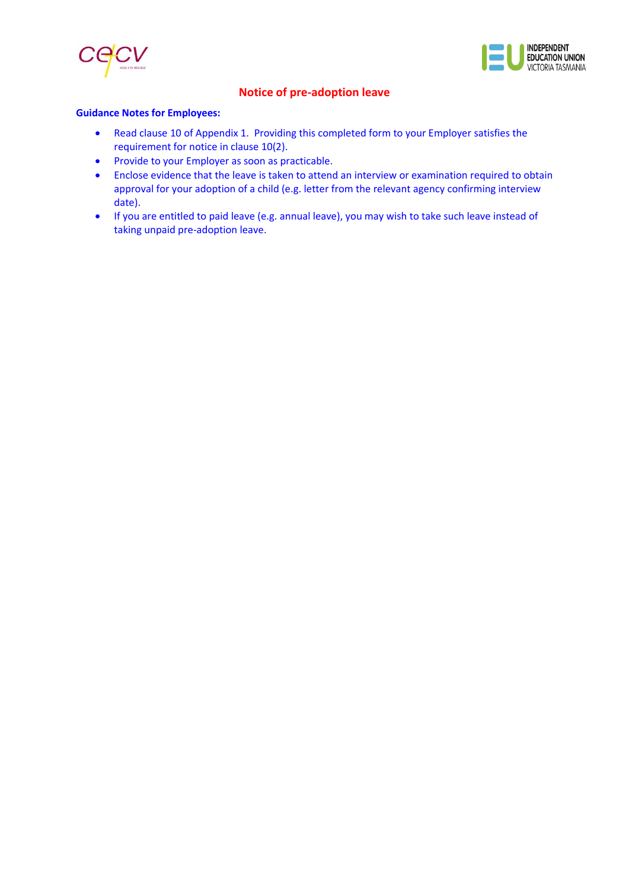



## **Notice of pre-adoption leave**

#### **Guidance Notes for Employees:**

- Read clause 10 of Appendix 1. Providing this completed form to your Employer satisfies the requirement for notice in clause 10(2).
- Provide to your Employer as soon as practicable.
- Enclose evidence that the leave is taken to attend an interview or examination required to obtain approval for your adoption of a child (e.g. letter from the relevant agency confirming interview date).
- If you are entitled to paid leave (e.g. annual leave), you may wish to take such leave instead of taking unpaid pre-adoption leave.